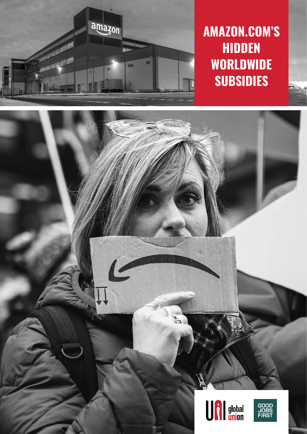

 $\overline{ }$ 

# **AMAZON.COM'S HIDDEN WORLDWIDE SUBSIDIES**



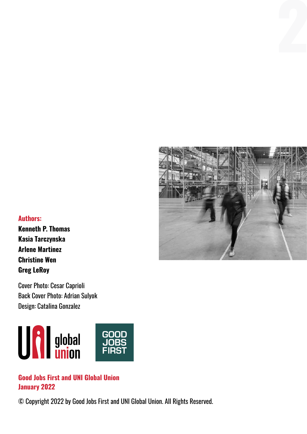

#### **Authors:**

**Kenneth P. Thomas Kasia Tarczynska Arlene Martinez Christine Wen Greg LeRoy**

Cover Photo: Cesar Caprioli Back Cover Photo: Adrian Sulyok Design: Catalina Gonzalez



#### **Good Jobs First and UNI Global Union January 2022**

© Copyright 2022 by Good Jobs First and UNI Global Union. All Rights Reserved.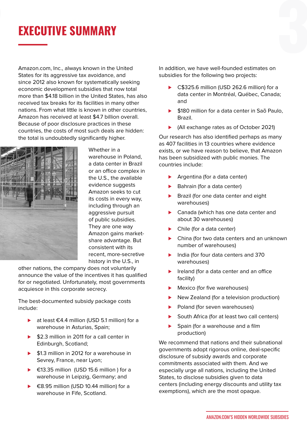# **2 3 EXECUTIVE SUMMARY**

Amazon.com, Inc., always known in the United States for its aggressive tax avoidance, and since 2012 also known for systematically seeking economic development subsidies that now total more than \$4.18 billion in the United States, has also received tax breaks for its facilities in many other nations. From what little is known in other countries, Amazon has received at least \$4.7 billion overall. Because of poor disclosure practices in these countries, the costs of most such deals are hidden: the total is undoubtedly significantly higher.



Whether in a warehouse in Poland, a data center in Brazil or an office complex in the U.S., the available evidence suggests Amazon seeks to cut its costs in every way, including through an aggressive pursuit of public subsidies. They are one way Amazon gains marketshare advantage. But consistent with its recent, more-secretive history in the U.S., in

other nations, the company does not voluntarily announce the value of the incentives it has qualified for or negotiated. Unfortunately, most governments acquiesce in this corporate secrecy.

The best-documented subsidy package costs include:

- ► at least €4.4 million (USD 5.1 million) for a warehouse in Asturias, Spain;
- ► \$2.3 million in 2011 for a call center in Edinburgh, Scotland;
- ► \$1.3 million in 2012 for a warehouse in Sevrey, France, near Lyon;
- ► €13.35 million (USD 15.6 million) for a warehouse in Leipzig, Germany; and
- ► €8.95 million (USD 10.44 million) for a warehouse in Fife, Scotland.

In addition, we have well-founded estimates on subsidies for the following two projects:

- ► C\$325.6 million (USD 262.6 million) for a data center in Montréal, Québec, Canada; and
- ► \$180 million for a data center in Saõ Paulo, Brazil.
- ► (All exchange rates as of October 2021)

Our research has also identified perhaps as many as 407 facilities in 13 countries where evidence exists, or we have reason to believe, that Amazon has been subsidized with public monies. The countries include:

- ► Argentina (for a data center)
- ► Bahrain (for a data center)
- ▶ Brazil (for one data center and eight warehouses)
- ► Canada (which has one data center and about 30 warehouses)
- ► Chile (for a data center)
- ► China (for two data centers and an unknown number of warehouses)
- ► India (for four data centers and 370 warehouses)
- ▶ Ireland (for a data center and an office facility)
- ► Mexico (for five warehouses)
- ▶ New Zealand (for a television production)
- ▶ Poland (for seven warehouses)
- South Africa (for at least two call centers)
- ▶ Spain (for a warehouse and a film production)

We recommend that nations and their subnational governments adopt rigorous online, deal-specific disclosure of subsidy awards and corporate commitments associated with them. And we especially urge all nations, including the United States, to disclose subsidies given to data centers (including energy discounts and utility tax exemptions), which are the most opaque.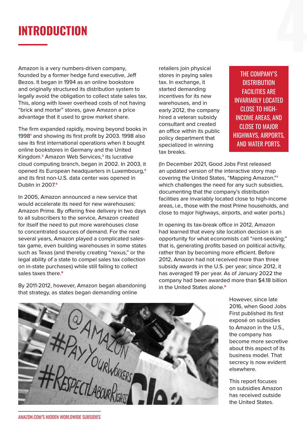## **INTRODUCTION**

Amazon is a very numbers-driven company, founded by a former hedge fund executive, Jeff Bezos. It began in 1994 as an online bookstore and originally structured its distribution system to legally avoid the obligation to collect state sales tax. This, along with lower overhead costs of not having "brick and mortar" stores, gave Amazon a price advantage that it used to grow market share.

The firm expanded rapidly, moving beyond books in 1998**1** and showing its first profit by 2003. 1998 also saw its first international operations when it bought online bookstores in Germany and the United Kingdom.**2** Amazon Web Services,**3** its lucrative cloud computing branch, began in 2002. In 2003, it opened its European headquarters in Luxembourg,**4** and its first non-U.S. data center was opened in Dublin in 2007.**5**

In 2005, Amazon announced a new service that would accelerate its need for new warehouses: Amazon Prime. By offering free delivery in two days to all subscribers to the service, Amazon created for itself the need to put more warehouses close to concentrated sources of demand. For the next several years, Amazon played a complicated salestax game, even building warehouses in some states such as Texas (and thereby creating "nexus," or the legal ability of a state to compel sales tax collection on in-state purchases) while still failing to collect sales taxes there.**6**

By 2011-2012, however, Amazon began abandoning that strategy, as states began demanding online

retailers join physical stores in paying sales tax. In exchange, it started demanding incentives for its new warehouses, and in early 2012, the company hired a veteran subsidy consultant and created an office within its public policy department that specialized in winning tax breaks.

THE COMPANY'S **DISTRIBUTION** FACILITIES ARE INVARIABLY LOCATED CLOSE TO HIGH-INCOME AREAS, AND CLOSE TO MAJOR HIGHWAYS, AIRPORTS, AND WATER PORTS.

(In December 2021, Good Jobs First released an updated version of the interactive story map covering the United States, "Mapping Amazon,"**7** which challenges the need for any such subsidies, documenting that the company's distribution facilities are invariably located close to high-income areas, i.e., those with the most Prime households, and close to major highways, airports, and water ports.)

In opening its tax-break office in 2012, Amazon had learned that every site location decision is an opportunity for what economists call "rent-seeking;" that is, generating profits based on political activity, rather than by becoming more efficient. Before 2012, Amazon had not received more than three subsidy awards in the U.S. per year; since 2012, it has averaged 19 per year. As of January 2022 the company had been awarded more than \$4.18 billion in the United States alone.**8**



However, since late 2016, when Good Jobs First published its first exposé on subsidies to Amazon in the U.S., the company has become more secretive about this aspect of its business model. That secrecy is now evident elsewhere.

This report focuses on subsidies Amazon has received outside the United States.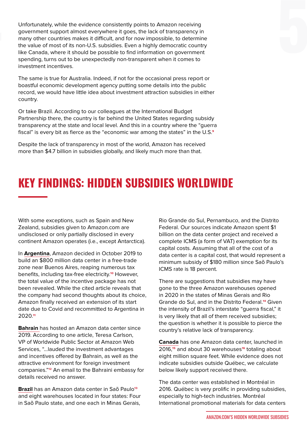Unfortunately, while the evidence consistently points to Amazon receiving<br>government support almost everywhere it goes, the lack of transparency in<br>many other countries makes it difficult, and for now impossible, to determ Unfortunately, while the evidence consistently points to Amazon receiving government support almost everywhere it goes, the lack of transparency in many other countries makes it difficult, and for now impossible, to determine the value of most of its non-U.S. subsidies. Even a highly democratic country like Canada, where it should be possible to find information on government spending, turns out to be unexpectedly non-transparent when it comes to investment incentives.

> The same is true for Australia. Indeed, if not for the occasional press report or boastful economic development agency putting some details into the public record, we would have little idea about investment attraction subsidies in either country.

> Or take Brazil. According to our colleagues at the International Budget Partnership there, the country is far behind the United States regarding subsidy transparency at the state and local level. And this in a country where the "guerra fiscal" is every bit as fierce as the "economic war among the states" in the U.S.**9**

Despite the lack of transparency in most of the world, Amazon has received more than \$4.7 billion in subsidies globally, and likely much more than that.

### **KEY FINDINGS: HIDDEN SUBSIDIES WORLDWIDE**

With some exceptions, such as Spain and New Zealand, subsidies given to Amazon.com are undisclosed or only partially disclosed in every continent Amazon operates (i.e., except Antarctica).

In **Argentina**, Amazon decided in October 2019 to build an \$800 million data center in a free-trade zone near Buenos Aires, reaping numerous tax benefits, including tax-free electricity.**10** However, the total value of the incentive package has not been revealed. While the cited article reveals that the company had second thoughts about its choice, Amazon finally received an extension of its start date due to Covid and recommitted to Argentina in 2020.**11**

**Bahrain** has hosted an Amazon data center since 2019. According to one article, Teresa Carlson, VP of Worldwide Public Sector at Amazon Web Services, "…lauded the investment advantages and incentives offered by Bahrain, as well as the attractive environment for foreign investment companies."**12** An email to the Bahraini embassy for details received no answer.

**Brazil** has an Amazon data center in Saõ Paulo**13** and eight warehouses located in four states: Four in Saõ Paulo state, and one each in Minas Gerais,

Rio Grande do Sul, Pernambuco, and the Distrito Federal. Our sources indicate Amazon spent \$1 billion on the data center project and received a complete ICMS (a form of VAT) exemption for its capital costs. Assuming that all of the cost of a data center is a capital cost, that would represent a minimum subsidy of \$180 million since Saõ Paulo's ICMS rate is 18 percent.

There are suggestions that subsidies may have gone to the three Amazon warehouses opened in 2020 in the states of Minas Gerais and Rio Grande do Sul, and in the Distrito Federal.**14** Given the intensity of Brazil's interstate "guerra fiscal," it is very likely that all of them received subsidies; the question is whether it is possible to pierce the country's relative lack of transparency.

**Canada** has one Amazon data center, launched in 2016,**15** and about 30 warehouses**16** totaling about eight million square feet. While evidence does not indicate subsidies outside Québec, we calculate below likely support received there.

The data center was established in Montréal in 2016. Québec is very prolific in providing subsidies, especially to high-tech industries. Montréal International promotional materials for data centers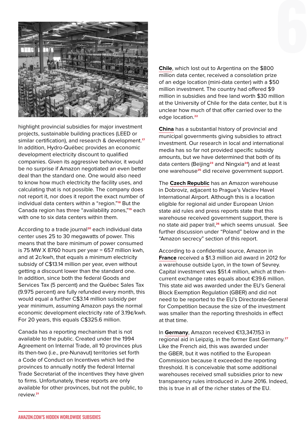

highlight provincial subsidies for major investment projects, sustainable building practices (LEED or similar certification), and research & development.**17** In addition, Hydro-Québec provides an economic development electricity discount to qualified companies. Given its aggressive behavior, it would be no surprise if Amazon negotiated an even better deal than the standard one. One would also need to know how much electricity the facility uses, and calculating that is not possible. The company does not report it, nor does it report the exact number of individual data centers within a "region."**18** But the Canada region has three "availability zones,"**19** each with one to six data centers within them.

According to a trade journal**20** each individual data center uses 25 to 30 megawatts of power. This means that the bare minimum of power consumed is 75 MW  $\times$  8760 hours per year = 657 million kwh, and at 2c/kwh, that equals a minimum electricity subsidy of C\$13.14 million per year, even without getting a discount lower than the standard one. In addition, since both the federal Goods and Services Tax (5 percent) and the Québec Sales Tax (9.975 percent) are fully refunded every month, this would equal a further C\$3.14 million subsidy per year minimum, assuming Amazon pays the normal economic development electricity rate of 3.19¢/kwh. For 20 years, this equals C\$325.6 million.

Canada has a reporting mechanism that is not available to the public. Created under the 1994 Agreement on Internal Trade, all 10 provinces plus its then-two (i.e., pre-Nunavut) territories set forth a Code of Conduct on Incentives which led the provinces to annually notify the federal Internal Trade Secretariat of the incentives they have given to firms. Unfortunately, these reports are only available for other provinces, but not the public, to review.**21**

**Chile**, which lost out to Argentina on the \$800 million data center, received a consolation prize of an edge location (mini-data center) with a \$50 million investment. The country had offered \$9 million in subsidies and free land worth \$30 million at the University of Chile for the data center, but it is unclear how much of that offer carried over to the edge location.**22**

**China** has a substantial history of provincial and municipal governments giving subsidies to attract investment. Our research in local and international media has so far not provided specific subsidy amounts, but we have determined that both of its data centers (Beijing**23** and Ningxia**24**) and at least one warehouse**25** did receive government support.

The **Czech Republic** has an Amazon warehouse in Dobroviz, adjacent to Prague's Vaclev Havel International Airport. Although this is a location eligible for regional aid under European Union state aid rules and press reports state that this warehouse received government support, there is no state aid paper trail,**26** which seems unusual. See further discussion under "Poland" below and in the "Amazon secrecy" section of this report.

According to a confidential source, Amazon in **France** received a \$1.3 million aid award in 2012 for a warehouse outside Lyon, in the town of Sevrey. Capital investment was \$51.4 million, which at thencurrent exchange rates equals about €39.6 million. This state aid was awarded under the EU's General Block Exemption Regulation (GBER) and did not need to be reported to the EU's Directorate-General for Competition because the size of the investment was smaller than the reporting thresholds in effect at that time.

In **Germany**, Amazon received €13,347,153 in regional aid in Leipzig, in the former East Germany.**27** Like the French aid, this was awarded under the GBER, but it was notified to the European Commission because it exceeded the reporting threshold. It is conceivable that some additional warehouses received small subsidies prior to new transparency rules introduced in June 2016. Indeed, this is true in all of the richer states of the EU.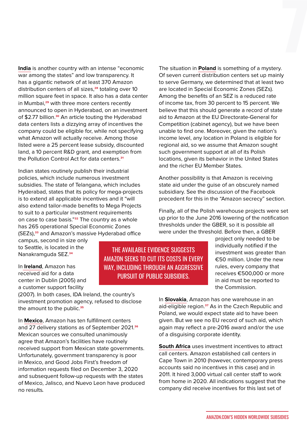**India** is another country with an intense "economic war among the states" and low transparency. It has a gigantic network of at least 370 Amazon distribution centers of all sizes,**28** totaling over 10 million square feet in space. It also has a data center in Mumbai,**29** with three more centers recently announced to open in Hyderabad, on an investment of \$2.77 billion.**30** An article touting the Hyderabad data centers lists a dizzying array of incentives the company could be eligible for, while not specifying what Amazon will actually receive. Among those listed were a 25 percent lease subsidy, discounted land, a 10 percent R&D grant, and exemption from the Pollution Control Act for data centers.**31**

Indian states routinely publish their industrial policies, which include numerous investment subsidies. The state of Telangana, which includes Hyderabad, states that its policy for mega-projects is to extend all applicable incentives and it "will also extend tailor-made benefits to Mega Projects to suit to a particular investment requirements on case to case basis."**32** The country as a whole has 265 operational Special Economic Zones (SEZs),**33** and Amazon's massive Hyderabad office

campus, second in size only to Seattle, is located in the Nanakramguda SEZ.**34**

In **Ireland**, Amazon has received aid for a data center in Dublin (2005) and a customer support facility

(2007). In both cases, IDA Ireland, the country's investment promotion agency, refused to disclose the amount to the public.**35**

In **Mexico**, Amazon has ten fulfillment centers and 27 delivery stations as of September 2021.**36** Mexican sources we consulted unanimously agree that Amazon's facilities have routinely received support from Mexican state governments. Unfortunately, government transparency is poor in Mexico, and Good Jobs First's freedom of information requests filed on December 3, 2020 and subsequent follow-up requests with the states of Mexico, Jalisco, and Nuevo Leon have produced no results.

The situation in **Poland** is something of a mystery. Of seven current distribution centers set up mainly to serve Germany, we determined that at least two are located in Special Economic Zones (SEZs). Among the benefits of an SEZ is a reduced rate of income tax, from 30 percent to 15 percent. We believe that this should generate a record of state aid to Amazon at the EU Directorate-General for Competition (cabinet agency), but we have been unable to find one. Moreover, given the nation's income level, any location in Poland is eligible for regional aid, so we assume that Amazon sought such government support at all of its Polish locations, given its behavior in the United States and the richer EU Member States.

Another possibility is that Amazon is receiving state aid under the guise of an obscurely named subsidiary. See the discussion of the Facebook precedent for this in the "Amazon secrecy" section.

Finally, all of the Polish warehouse projects were set up prior to the June 2016 lowering of the notification thresholds under the GBER, so it is possible all were under the threshold. Before then, a GBER

> project only needed to be individually notified if the investment was greater than €50 million. Under the new rules, every company that receives €500,000 or more in aid must be reported to the Commission.

In **Slovakia**, Amazon has one warehouse in an aid-eligible region.**37** As in the Czech Republic and Poland, we would expect state aid to have been given. But we see no EU record of such aid, which again may reflect a pre-2016 award and/or the use of a disguising corporate identity.

**South Africa** uses investment incentives to attract call centers. Amazon established call centers in Cape Town in 2010 (however, contemporary press accounts said no incentives in this case) and in 2011. It hired 3,000 virtual call center staff to work from home in 2020. All indications suggest that the company did receive incentives for this last set of

#### AMAZON.COM'S HIDDEN WORLDWIDE SUBSIDIES

THE AVAILABLE EVIDENCE SUGGESTS AMAZON SEEKS TO CUT ITS COSTS IN EVERY WAY, INCLUDING THROUGH AN AGGRESSIVE PURSUIT OF PUBLIC SUBSIDIES.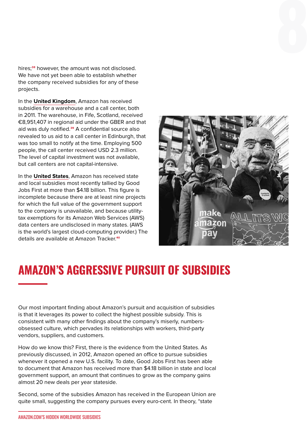hires;**38** however, the amount was not disclosed. We have not yet been able to establish whether the company received subsidies for any of these projects.

In the **United Kingdom**, Amazon has received subsidies for a warehouse and a call center, both in 2011. The warehouse, in Fife, Scotland, received €8,951,407 in regional aid under the GBER and that aid was duly notified.**39** A confidential source also revealed to us aid to a call center in Edinburgh, that was too small to notify at the time. Employing 500 people, the call center received USD 2.3 million. The level of capital investment was not available, but call centers are not capital-intensive.

In the **United States**, Amazon has received state and local subsidies most recently tallied by Good Jobs First at more than \$4.18 billion. This figure is incomplete because there are at least nine projects for which the full value of the government support to the company is unavailable, and because utilitytax exemptions for its Amazon Web Services (AWS) data centers are undisclosed in many states. (AWS is the world's largest cloud-computing provider.) The details are available at Amazon Tracker.**40**



#### **AMAZON'S AGGRESSIVE PURSUIT OF SUBSIDIES**

Our most important finding about Amazon's pursuit and acquisition of subsidies is that it leverages its power to collect the highest possible subsidy. This is consistent with many other findings about the company's miserly, numbersobsessed culture, which pervades its relationships with workers, third-party vendors, suppliers, and customers.

How do we know this? First, there is the evidence from the United States. As previously discussed, in 2012, Amazon opened an office to pursue subsidies whenever it opened a new U.S. facility. To date, Good Jobs First has been able to document that Amazon has received more than \$4.18 billion in state and local government support, an amount that continues to grow as the company gains almost 20 new deals per year stateside.

Second, some of the subsidies Amazon has received in the European Union are quite small, suggesting the company pursues every euro-cent. In theory, "state

AMAZON.COM'S HIDDEN WORLDWIDE SUBSIDIES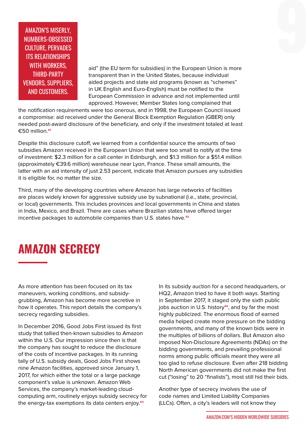AMAZON'S MISERLY,<br>NUMBERS-OBSESSED<br>CULTURE, PERVADES<br>ITS RELATIONSHIPS<br>WELLATIONSHIPS AMAZON'S MISERLY, NUMBERS-OBSESSED CULTURE, PERVADES ITS RELATIONSHIPS WITH WORKERS. THIRD-PARTY VENDORS, SUPPLIERS, AND CUSTOMERS.

aid" (the EU term for subsidies) in the European Union is more transparent than in the United States, because individual aided projects and state aid programs (known as "schemes" in UK English and Euro-English) must be notified to the European Commission in advance and not implemented until approved. However, Member States long complained that

the notification requirements were too onerous, and in 1998, the European Council issued a compromise: aid received under the General Block Exemption Regulation (GBER) only needed post-award disclosure of the beneficiary, and only if the investment totaled at least €50 million.**41**

Despite this disclosure cutoff, we learned from a confidential source the amounts of two subsidies Amazon received in the European Union that were too small to notify at the time of investment: \$2.3 million for a call center in Edinburgh, and \$1.3 million for a \$51.4 million (approximately €39.6 million) warehouse near Lyon, France. These small amounts, the latter with an aid intensity of just 2.53 percent, indicate that Amazon pursues any subsidies it is eligible for, no matter the size.

Third, many of the developing countries where Amazon has large networks of facilities are places widely known for aggressive subsidy use by subnational (i.e., state, provincial, or local) governments. This includes provinces and local governments in China and states in India, Mexico, and Brazil. There are cases where Brazilian states have offered larger incentive packages to automobile companies than U.S. states have.**42**

# **AMAZON SECRECY**

As more attention has been focused on its tax maneuvers, working conditions, and subsidygrubbing, Amazon has become more secretive in how it operates. This report details the company's secrecy regarding subsidies.

In December 2016, Good Jobs First issued its first study that tallied then-known subsidies to Amazon within the U.S. Our impression since then is that the company has sought to reduce the disclosure of the costs of incentive packages. In its running tally of U.S. subsidy deals, Good Jobs First shows nine Amazon facilities, approved since January 1, 2017, for which either the total or a large package component's value is unknown. Amazon Web Services, the company's market-leading cloudcomputing arm, routinely enjoys subsidy secrecy for the energy-tax exemptions its data centers enjoy.**43**

In its subsidy auction for a second headquarters, or HQ2, Amazon tried to have it both ways. Starting in September 2017, it staged only the sixth public jobs auction in U.S. history<sup>44</sup>, and by far the most highly publicized. The enormous flood of earned media helped create more pressure on the bidding governments, and many of the known bids were in the multiples of billions of dollars. But Amazon also imposed Non-Disclosure Agreements (NDAs) on the bidding governments, and prevailing professional norms among public officials meant they were all too glad to refuse disclosure. Even after 218 bidding North American governments did not make the first cut ("losing" to 20 "finalists"), most still hid their bids.

Another type of secrecy involves the use of code names and Limited Liability Companies (LLCs). Often, a city's leaders will not know they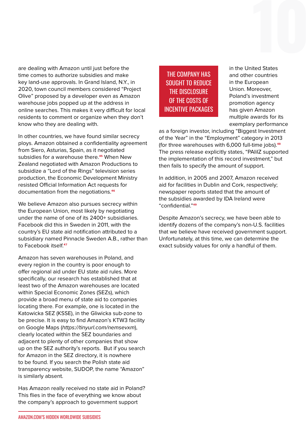are dealing with Amazon until just before the time comes to authorize subsidies and make key land-use approvals. In Grand Island, N.Y., in 2020, town council members considered "Project Olive" proposed by a developer even as Amazon warehouse jobs popped up at the address in online searches. This makes it very difficult for local residents to comment or organize when they don't know who they are dealing with.

In other countries, we have found similar secrecy ploys. Amazon obtained a confidentiality agreement from Siero, Asturias, Spain, as it negotiated subsidies for a warehouse there.**45** When New Zealand negotiated with Amazon Productions to subsidize a "Lord of the Rings" television series production, the Economic Development Ministry resisted Official Information Act requests for documentation from the negotiations.**46**

We believe Amazon also pursues secrecy within the European Union, most likely by negotiating under the name of one of its 2400+ subsidiaries. Facebook did this in Sweden in 2011, with the country's EU state aid notification attributed to a subsidiary named Pinnacle Sweden A.B., rather than to Facebook itself.**47**

Amazon has seven warehouses in Poland, and every region in the country is poor enough to offer regional aid under EU state aid rules. More specifically, our research has established that at least two of the Amazon warehouses are located within Special Economic Zones (SEZs), which provide a broad menu of state aid to companies locating there. For example, one is located in the Katowicka SEZ (KSSE), in the Gliwicka sub-zone to be precise. It is easy to find Amazon's KTW3 facility on Google Maps (https://tinyurl.com/nemsevxm), clearly located within the SEZ boundaries and adjacent to plenty of other companies that show up on the SEZ authority's reports. But if you search for Amazon in the SEZ directory, it is nowhere to be found. If you search the Polish state aid transparency website, SUDOP, the name "Amazon" is similarly absent.

Has Amazon really received no state aid in Poland? This flies in the face of everything we know about the company's approach to government support

#### THE COMPANY HAS SOUGHT TO REDUCE THE DISCLOSURE OF THE COSTS OF INCENTIVE PACKAGES

in the United States and other countries in the European Union. Moreover, Poland's investment promotion agency has given Amazon multiple awards for its exemplary performance

as a foreign investor, including "Biggest Investment of the Year" in the "Employment" category in 2013 (for three warehouses with 6,000 full-time jobs).**48** The press release explicitly states, "PAIiIZ supported the implementation of this record investment," but then fails to specify the amount of support.

In addition, in 2005 and 2007, Amazon received aid for facilities in Dublin and Cork, respectively; newspaper reports stated that the amount of the subsidies awarded by IDA Ireland were "confidential."**49**

Despite Amazon's secrecy, we have been able to identify dozens of the company's non-U.S. facilities that we believe have received government support. Unfortunately, at this time, we can determine the exact subsidy values for only a handful of them.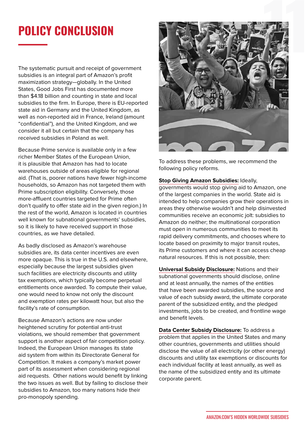## **POLICY CONCLUSION**

The systematic pursuit and receipt of government subsidies is an integral part of Amazon's profit maximization strategy—globally. In the United States, Good Jobs First has documented more than \$4.18 billion and counting in state and local subsidies to the firm. In Europe, there is EU-reported state aid in Germany and the United Kingdom, as well as non-reported aid in France, Ireland (amount "confidential"), and the United Kingdom, and we consider it all but certain that the company has received subsidies in Poland as well.

Because Prime service is available only in a few richer Member States of the European Union, it is plausible that Amazon has had to locate warehouses outside of areas eligible for regional aid. (That is, poorer nations have fewer high-income households, so Amazon has not targeted them with Prime subscription eligibility. Conversely, those more-affluent countries targeted for Prime often don't qualify to offer state aid in the given region.) In the rest of the world, Amazon is located in countries well known for subnational governments' subsidies, so it is likely to have received support in those countries, as we have detailed.

As badly disclosed as Amazon's warehouse subsidies are, its data center incentives are even more opaque. This is true in the U.S. and elsewhere, especially because the largest subsidies given such facilities are electricity discounts and utility tax exemptions, which typically become perpetual entitlements once awarded. To compute their value, one would need to know not only the discount and exemption rates per kilowatt hour, but also the facility's rate of consumption.

Because Amazon's actions are now under heightened scrutiny for potential anti-trust violations, we should remember that government support is another aspect of fair competition policy. Indeed, the European Union manages its state aid system from within its Directorate General for Competition. It makes a company's market power part of its assessment when considering regional aid requests. Other nations would benefit by linking the two issues as well. But by failing to disclose their subsidies to Amazon, too many nations hide their pro-monopoly spending.



To address these problems, we recommend the following policy reforms.

#### **Stop Giving Amazon Subsidies:** Ideally,

governments would stop giving aid to Amazon, one of the largest companies in the world. State aid is intended to help companies grow their operations in areas they otherwise wouldn't and help disinvested communities receive an economic jolt: subsidies to Amazon do neither; the multinational corporation must open in numerous communities to meet its rapid delivery commitments, and chooses where to locate based on proximity to major transit routes, its Prime customers and where it can access cheap natural resources. If this is not possible, then:

**Universal Subsidy Disclosure:** Nations and their subnational governments should disclose, online and at least annually, the names of the entities that have been awarded subsidies, the source and value of each subsidy award, the ultimate corporate parent of the subsidized entity, and the pledged investments, jobs to be created, and frontline wage and benefit levels.

**Data Center Subsidy Disclosure:** To address a problem that applies in the United States and many other countries, governments and utilities should disclose the value of all electricity (or other energy) discounts and utility tax exemptions or discounts for each individual facility at least annually, as well as the name of the subsidized entity and its ultimate corporate parent.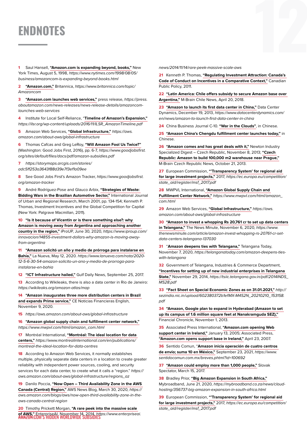## **ENDNOTES**

**1** Saul Hansell, **"Amazon.com is expanding beyond, books,"** New York Times, August 5, 1998, https://www.nytimes.com/1998/08/05/ business/amazoncom-is-expanding-beyond-books.html

**2 "Amazon.com,"** Britannica, https://www.britannica.com/topic/ Amazoncom

**3 "Amazon.com launches web services,"** press release, https://press. aboutamazon.com/news-releases/news-release-details/amazoncomlaunches-web-services

**4** Institute for Local Self-Reliance, "**Timeline of Amazon's Expansion,"** https://ilsr.org/wp-content/uploads/2016/11/ILSR\_AmazonTimeline.pdf

**5** Amazon Web Services, **"Global Infrastructure,"** https://aws. amazon.com/about-aws/global-infrastructure

**6** Thomas Cafcas and Greg LeRoy, **"Will Amazon Fool Us Twice?"** (Washington: Good Jobs First, 2016), pp. 6-7, https://www.goodjobsfirst. org/sites/default/files/docs/pdf/amazon-subsidies.pdf

**7** https://storymaps.arcgis.com/stories/

adc5ff253a3643f88d39e7f3ef1a09ee

**8** See Good Jobs First's Amazon Tracker, https://www.goodjobsfirst. org/amazon-tracker

**9** André Rodríguez-Pose and Glauco Arbix, **"Strategies of Waste: Bidding Wars in the Brazilian Automotive Sector,"** International Journal of Urban and Regional Research, March 2001, pp. 134-154; Kenneth P. Thomas, Investment Incentives and the Global Competition for Capital (New York: Palgrave Macmillan, 2011).

**10 "Is it because of Vicentin or is there something else?: why Amazon is moving away from Argentina and approaching another country in the region,"** iProUP, June 30, 2020, https://www.iproup.com/ innovacion/14855-investment-dollars-why-amazon-is-moving-awayfrom-argentina

**11 "Amazon solicitó un año y medio de prórroga para instalarse en Bahía,"** La Nueva, May 12, 2020. https://www.lanueva.com/nota/2020- 12-5-6-30-54-amazon-solicito-un-ano-y-medio-de-prorroga-parainstalarse-en-bahia

**12 "ICT Infrastructure hailed,"** Gulf Daily News, September 25, 2017.

**13** According to Wikileaks, there is also a data center in Rio de Janeiro: https://wikileaks.org/amazon-atlas/map

**14 "Amazon inaugurates three more distribution centers in Brazil and expands Prime service,"** CE Noticias Financieras English, November 9, 2020.

**15** https://aws.amazon.com/about-aws/global-infrastructure

**16 "Amazon global supply chain and fulfillment center network,"** https://www.mwpvl.com/html/amazon\_com.html

**17** Montréal International, **"Montréal: The ideal location for data centers,"** https://www.montrealinternational.com/en/publications/ montreal-the-ideal-location-for-data-centres

**18** According to Amazon Web Services, it normally establishes multiple, physically separate data centers in a location to create greater reliability with independent power sources, cooling, and security services for each data center, to create what it calls a "region." https:// aws.amazon.com/about-aws/global-infrastructure/regions\_az

**19** Danilo Poccia, **"Now Open – Third Availability Zone in the AWS Canada (Central) Region,"** AWS News Blog, March 30, 2020, https:// aws.amazon.com/blogs/aws/now-open-third-availability-zone-in-theaws-canada-central-region

**of AWS,"** EnterpriseAI, November 14, 2014, *https://www.enterpriseai.*<br><del>AMAZON.</del>COM'S HIDDEN WORLDWIDE SUBSIDIES **20** Timothy Prickett Morgan, **"A rare peek into the massive scale** 

news/2014/11/14/rare-peek-massive-scale-aws

**21** Kenneth P. Thomas, **"Regulating Investment Attraction: Canada's Code of Conduct on Incentives in a Comparative Context,"** Canadian Public Policy, 2011.

**22 "Latin America: Chile offers subsidy to secure Amazon base over Argentina,"** M-Brain Chile News, April 20, 2018.

**23 "Amazon to launch its first data center in China,"** Data Center Dynamics, December 19, 2013, https://www.datacenterdynamics.com/ en/news/amazon-to-launch-first-data-center-in-china

**24** China Business Journal C-10. **"War in the Clouds"**, in Chinese.

**25 "Amazon China's Chengdu fulfillment center launches today,"** in Chinese.

**26 "Amazon comes and has great deals with it,"** Newton Industry Specialized Digest – Czech Republic, November 8, 2013; **"Czech Republic: Amazon to build 100,000 m2 warehouse near Prague,"** M-Brain Czech Republic News, October 21, 2013.

**27** European Commission, **"'Transparency System' for regional aid for large investment projects,"** 2017, https://ec.europa.eu/competition/ state\_aid/register/msf\_2017.pdf

**28** MWPVL International, **"Amazon Global Supply Chain and Fulfillment Center Network,"** https://www.mwpvl.com/html/amazon\_ com.html

**29** Amazon Web Services, **"Global Infrastructure,"** https://aws. amazon.com/about-aws/global-infrastructure

**30 "Amazon to invest a whopping Rs 20,761 cr to set up data centers in Telangana,"** The News Minute, November 6, 2020, https://www. thenewsminute.com/article/amazon-invest-whopping-rs-20761-cr-setdata-centers-telangana-137030

**31** "**Amazon deepens ties with Telangana,"** Telangana Today, November 7, 2020, https://telanganatoday.com/amazon-deepens-tieswith-telangana

**32** Government of Telangana, Industries & Commerce Department, **"Incentives for setting up of new industrial enterprises in Telangana**  State," November 29, 2014, https://tsiic.telangana.gov.in/pdf/2014INDS\_ MS28.pdf

**33 "Fact Sheet on Special Economic Zones as on 31.01.2021,"** http:// sezindia.nic.in/upload/602380372b1efMX-M452N\_20210210\_153158. pdf

**34 "Amazon, Google plan to expand in Hyderabad (Amazon to set up its campus of 1.6 million square feet at Nanakramguda SEZ),"** Financial Chronicle, November 1, 2013.

**35** Associated Press International, **"Amazon.com opening Web support center in Ireland,"** January 13, 2005; Associated Press, **"Amazon.com opens support base in Ireland,"** April 23, 2007.

**36** Sentido Comun, "**Amazon inicia operación de cuatro centros de envío; suma 10 en México,"** September 23, 2021, https://www. sentidocomun.com.mx/breves.phtml?id=100692

**37 "Amazon could employ more than 1,000 people,"** Slovak Spectator, March 15, 2017.

**38** Bradley Prior, **"Big Amazon Expansion in South Africa,"** Mybroadband, June 21, 2020, https://mybroadband.co.za/news/cloudhosting/356737-big-amazon-expansion-in-south-africa.html

**39** European Commission, **"'Transparency System' for regional aid for large investment projects,"** 2017, https://ec.europa.eu/competition/ state\_aid/register/msf\_2017.pdf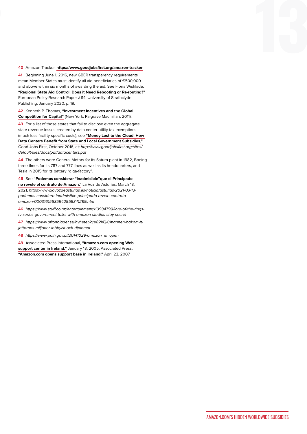#### **40** Amazon Tracker, **https://www.goodjobsfirst.org/amazon-tracker**

**41** Beginning June 1, 2016, new GBER transparency requirements mean Member States must identify all aid beneficiaries of €500,000 and above within six months of awarding the aid. See Fiona Wishlade, **"Regional State Aid Control: Does it Need Rebooting or Re-routing?"** European Policy Research Paper #114, University of Strathclyde Publishing, January 2020, p, 19.

**42** Kenneth P. Thomas, **"Investment Incentives and the Global Competition for Capital"** (New York, Palgrave Macmillan, 2011).

**43** For a list of those states that fail to disclose even the aggregate state revenue losses created by data center utility tax exemptions (much less facility-specific costs), see **"Money Lost to the Cloud: How Data Centers Benefit from State and Local Government Subsidies,"** Good Jobs First, October 2016, at: http://www.goodjobsfirst.org/sites/ default/files/docs/pdf/datacenters.pdf

**44** The others were General Motors for its Saturn plant in 1982, Boeing three times for its 787 and 777 lines as well as its headquarters, and Tesla in 2015 for its battery "giga-factory".

**45** See **"Podemos considerar "inadmisible"que el Principado no revele el contrato de Amazon,"** La Voz de Asturias, March 13, 2021, https://www.lavozdeasturias.es/noticia/asturias/2021/03/13/ podemos-considera-inadmisible-principado-revele-contratoamazon/00031615635942958341289.htm

**46** https://www.stuff.co.nz/entertainment/110934799/lord-of-the-ringstv-series-government-talks-with-amazon-studios-stay-secret

**47** https://www.aftonbladet.se/nyheter/a/e82KQK/mannen-bakom-itjattarnas-miljoner-lobbyist-och-diplomat

**48** https://www.paih.gov.pl/20141029/amazon\_is\_open

**49** Associated Press International, **"Amazon.com opening Web support center in Ireland,"** January 13, 2005; Associated Press, **"Amazon.com opens support base in Ireland,"** April 23, 2007